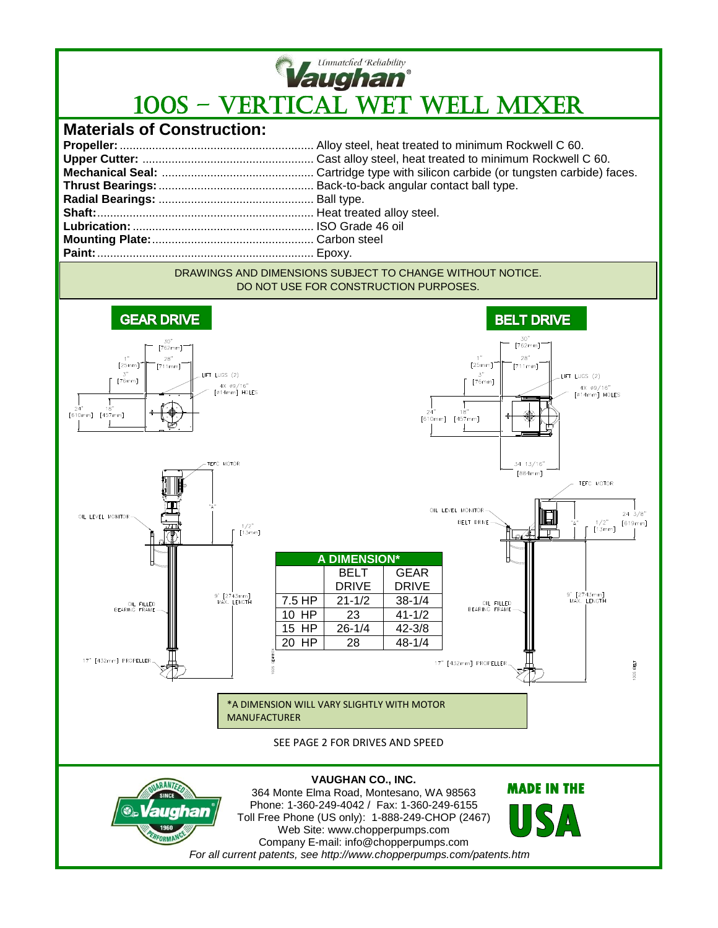

## **Vaughan**<br>100S – VERTICAL WET WELL MIXER

## **Materials of Construction:**

## DRAWINGS AND DIMENSIONS SUBJECT TO CHANGE WITHOUT NOTICE. DO NOT USE FOR CONSTRUCTION PURPOSES.